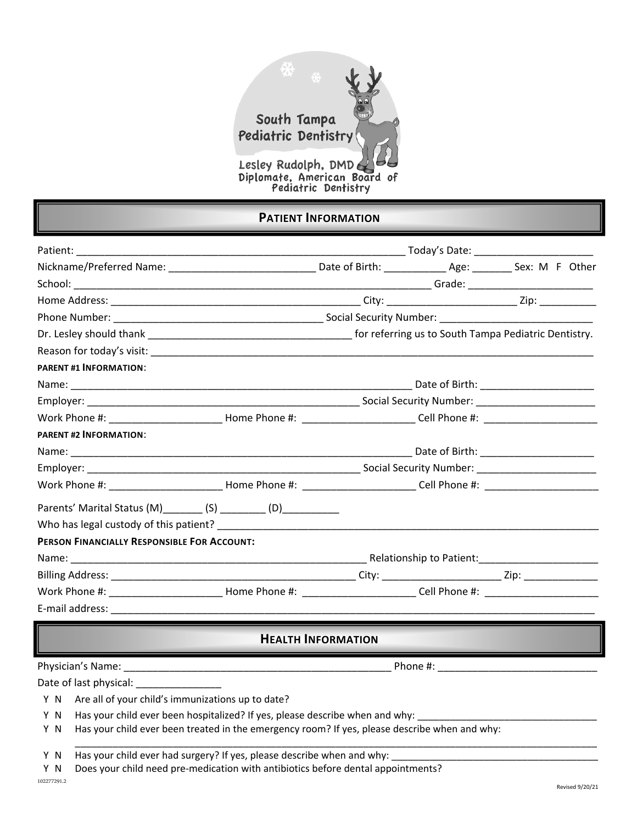

# **PATIENT INFORMATION**

| Nickname/Preferred Name: ___________________________________Date of Birth: __________________________Sex: M F Other                                                                                                            |                                                                                               |                                                                                 |  |  |  |
|--------------------------------------------------------------------------------------------------------------------------------------------------------------------------------------------------------------------------------|-----------------------------------------------------------------------------------------------|---------------------------------------------------------------------------------|--|--|--|
|                                                                                                                                                                                                                                |                                                                                               |                                                                                 |  |  |  |
|                                                                                                                                                                                                                                |                                                                                               |                                                                                 |  |  |  |
|                                                                                                                                                                                                                                |                                                                                               |                                                                                 |  |  |  |
|                                                                                                                                                                                                                                |                                                                                               |                                                                                 |  |  |  |
| Reason for today's visit: Note to the series of the series of the series of the series of the series of the series of the series of the series of the series of the series of the series of the series of the series of the se |                                                                                               |                                                                                 |  |  |  |
| <b>PARENT #1 INFORMATION:</b>                                                                                                                                                                                                  |                                                                                               |                                                                                 |  |  |  |
|                                                                                                                                                                                                                                |                                                                                               |                                                                                 |  |  |  |
|                                                                                                                                                                                                                                |                                                                                               |                                                                                 |  |  |  |
|                                                                                                                                                                                                                                |                                                                                               |                                                                                 |  |  |  |
| <b>PARENT #2 INFORMATION:</b>                                                                                                                                                                                                  |                                                                                               |                                                                                 |  |  |  |
|                                                                                                                                                                                                                                |                                                                                               |                                                                                 |  |  |  |
|                                                                                                                                                                                                                                |                                                                                               |                                                                                 |  |  |  |
|                                                                                                                                                                                                                                |                                                                                               |                                                                                 |  |  |  |
| Parents' Marital Status (M)________ (S) ________ (D)___________                                                                                                                                                                |                                                                                               |                                                                                 |  |  |  |
|                                                                                                                                                                                                                                |                                                                                               |                                                                                 |  |  |  |
| PERSON FINANCIALLY RESPONSIBLE FOR ACCOUNT:                                                                                                                                                                                    |                                                                                               |                                                                                 |  |  |  |
|                                                                                                                                                                                                                                |                                                                                               |                                                                                 |  |  |  |
|                                                                                                                                                                                                                                |                                                                                               |                                                                                 |  |  |  |
|                                                                                                                                                                                                                                |                                                                                               |                                                                                 |  |  |  |
|                                                                                                                                                                                                                                |                                                                                               |                                                                                 |  |  |  |
|                                                                                                                                                                                                                                |                                                                                               | <u> 1989 - Johann Stein, mars et al. (b. 1989)</u><br><b>HEALTH INFORMATION</b> |  |  |  |
|                                                                                                                                                                                                                                |                                                                                               |                                                                                 |  |  |  |
|                                                                                                                                                                                                                                |                                                                                               |                                                                                 |  |  |  |
| Y N<br>Are all of your child's immunizations up to date?                                                                                                                                                                       |                                                                                               |                                                                                 |  |  |  |
| Y N                                                                                                                                                                                                                            | Has your child ever been hospitalized? If yes, please describe when and why:                  |                                                                                 |  |  |  |
| Y N                                                                                                                                                                                                                            | Has your child ever been treated in the emergency room? If yes, please describe when and why: |                                                                                 |  |  |  |

 $\_$  ,  $\_$  ,  $\_$  ,  $\_$  ,  $\_$  ,  $\_$  ,  $\_$  ,  $\_$  ,  $\_$  ,  $\_$  ,  $\_$  ,  $\_$  ,  $\_$  ,  $\_$  ,  $\_$  ,  $\_$  ,  $\_$  ,  $\_$  ,  $\_$  ,  $\_$  ,  $\_$  ,  $\_$  ,  $\_$  ,  $\_$  ,  $\_$  ,  $\_$  ,  $\_$  ,  $\_$  ,  $\_$  ,  $\_$  ,  $\_$  ,  $\_$  ,  $\_$  ,  $\_$  ,  $\_$  ,  $\_$  ,  $\_$  ,

Y N Has your child ever had surgery? If yes, please describe when and why:

Y N Does your child need pre-medication with antibiotics before dental appointments?

102277291.2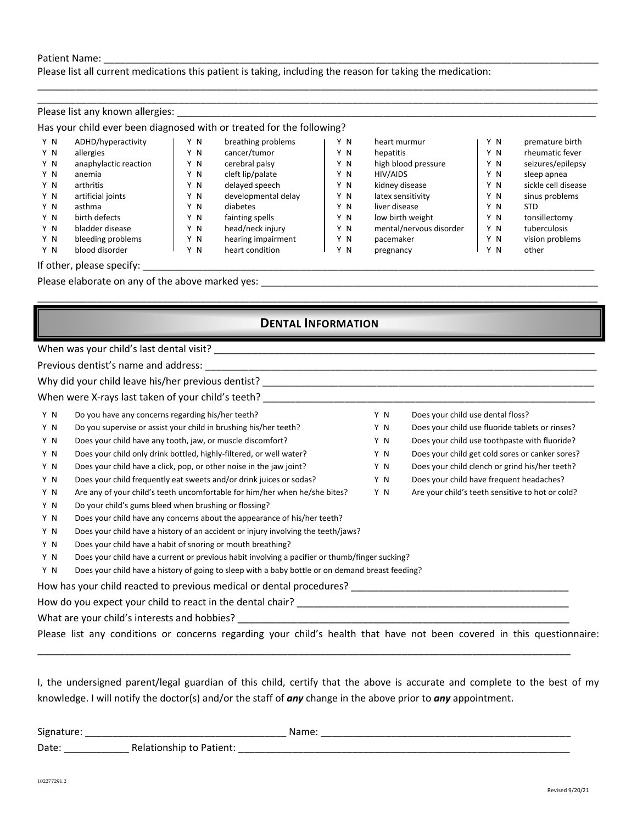#### Patient Name:

Please list all current medications this patient is taking, including the reason for taking the medication:

|     |                           |     | Has your child ever been diagnosed with or treated for the following? |     |                         |     |                     |
|-----|---------------------------|-----|-----------------------------------------------------------------------|-----|-------------------------|-----|---------------------|
| Y N | ADHD/hyperactivity        | Y N | breathing problems                                                    | Y N | heart murmur            | Y N | premature birth     |
| Y N | allergies                 | Y N | cancer/tumor                                                          | Y N | hepatitis               | Y N | rheumatic fever     |
| Y N | anaphylactic reaction     | Y N | cerebral palsy                                                        | Y N | high blood pressure     | Y N | seizures/epilepsy   |
| Y N | anemia                    | Y N | cleft lip/palate                                                      | Y N | HIV/AIDS                | Y N | sleep apnea         |
| Y N | arthritis                 | Y N | delayed speech                                                        | Y N | kidney disease          | Y N | sickle cell disease |
| Y N | artificial joints         | Y N | developmental delay                                                   | Y N | latex sensitivity       | Y N | sinus problems      |
| Y N | asthma                    | Y N | diabetes                                                              | Y N | liver disease           | Y N | <b>STD</b>          |
| Y N | birth defects             | Y N | fainting spells                                                       | Y N | low birth weight        | Y N | tonsillectomy       |
| Y N | bladder disease           | Y N | head/neck injury                                                      | Y N | mental/nervous disorder | Y N | tuberculosis        |
| Y N | bleeding problems         | Y N | hearing impairment                                                    | Y N | pacemaker               | Y N | vision problems     |
| Y N | blood disorder            | Y N | heart condition                                                       | Y N | pregnancy               | Y N | other               |
|     | If other, please specify: |     |                                                                       |     |                         |     |                     |
|     |                           |     | Please elaborate on any of the above marked yes:                      |     |                         |     |                     |
|     |                           |     |                                                                       |     |                         |     |                     |

\_\_\_\_\_\_\_\_\_\_\_\_\_\_\_\_\_\_\_\_\_\_\_\_\_\_\_\_\_\_\_\_\_\_\_\_\_\_\_\_\_\_\_\_\_\_\_\_\_\_\_\_\_\_\_\_\_\_\_\_\_\_\_\_\_\_\_\_\_\_\_\_\_\_\_\_\_\_\_\_\_\_\_\_\_\_\_\_\_\_\_\_\_\_\_\_\_\_\_\_\_\_\_

|     | When were X-rays last taken of your child's teeth? _____________________________                                       |     |                                                  |
|-----|------------------------------------------------------------------------------------------------------------------------|-----|--------------------------------------------------|
| Y N | Do you have any concerns regarding his/her teeth?                                                                      | Y N | Does your child use dental floss?                |
| Y N | Do you supervise or assist your child in brushing his/her teeth?                                                       | Y N | Does your child use fluoride tablets or rinses?  |
| Y N | Does your child have any tooth, jaw, or muscle discomfort?                                                             | Y N | Does your child use toothpaste with fluoride?    |
| Y N | Does your child only drink bottled, highly-filtered, or well water?                                                    | Y N | Does your child get cold sores or canker sores?  |
| Y N | Does your child have a click, pop, or other noise in the jaw joint?                                                    | Y N | Does your child clench or grind his/her teeth?   |
| Y N | Does your child frequently eat sweets and/or drink juices or sodas?                                                    | Y N | Does your child have frequent headaches?         |
| Y N | Are any of your child's teeth uncomfortable for him/her when he/she bites?                                             | Y N | Are your child's teeth sensitive to hot or cold? |
| Y N | Do your child's gums bleed when brushing or flossing?                                                                  |     |                                                  |
| Y N | Does your child have any concerns about the appearance of his/her teeth?                                               |     |                                                  |
| Y N | Does your child have a history of an accident or injury involving the teeth/jaws?                                      |     |                                                  |
| Y N | Does your child have a habit of snoring or mouth breathing?                                                            |     |                                                  |
| Y N | Does your child have a current or previous habit involving a pacifier or thumb/finger sucking?                         |     |                                                  |
| Y N | Does your child have a history of going to sleep with a baby bottle or on demand breast feeding?                       |     |                                                  |
|     |                                                                                                                        |     |                                                  |
|     |                                                                                                                        |     |                                                  |
|     |                                                                                                                        |     |                                                  |
|     | Please list any conditions or concerns regarding your child's health that have not been covered in this questionnaire: |     |                                                  |

I, the undersigned parent/legal guardian of this child, certify that the above is accurate and complete to the best of my knowledge. I will notify the doctor(s) and/or the staff of *any* change in the above prior to *any* appointment.

| Sion. |  |
|-------|--|
| Date  |  |